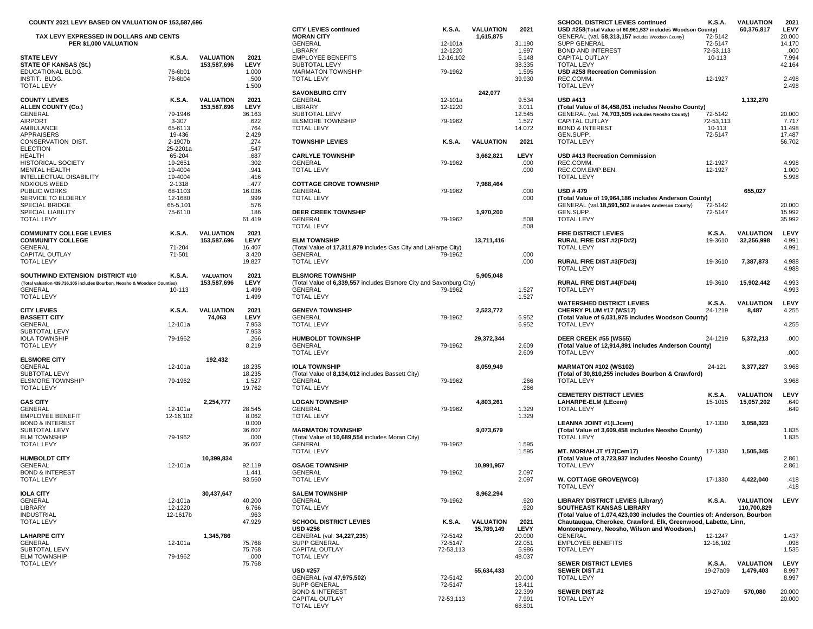| COUNTY 2021 LEVY BASED ON VALUATION OF 153,587,696                        |                    |                            |                 |                                                                     |           |                       |
|---------------------------------------------------------------------------|--------------------|----------------------------|-----------------|---------------------------------------------------------------------|-----------|-----------------------|
| TAX LEVY EXPRESSED IN DOLLARS AND CENTS                                   |                    |                            |                 | <b>CITY LEVIES continued</b><br><b>MORAN CITY</b>                   | K.S.A.    | VALUATIO<br>1,615,875 |
| PER \$1,000 VALUATION                                                     |                    |                            | <b>GENERAL</b>  | 12-101a                                                             |           |                       |
|                                                                           |                    |                            |                 | LIBRARY                                                             | 12-1220   |                       |
| <b>STATE LEVY</b>                                                         | <b>K.S.A.</b>      | <b>VALUATION</b>           | 2021            | <b>EMPLOYEE BENEFITS</b>                                            | 12-16,102 |                       |
| <b>STATE OF KANSAS (St.)</b><br>EDUCATIONAL BLDG.                         |                    | 153,587,696                | LEVY            | SUBTOTAL LEVY                                                       |           |                       |
| INSTIT. BLDG.                                                             | 76-6b01<br>76-6b04 |                            | 1.000<br>.500   | <b>MARMATON TOWNSHIP</b><br><b>TOTAL LEVY</b>                       | 79-1962   |                       |
| <b>TOTAL LEVY</b>                                                         |                    |                            | 1.500           |                                                                     |           |                       |
|                                                                           |                    |                            |                 | <b>SAVONBURG CITY</b>                                               |           | 242,077               |
| <b>COUNTY LEVIES</b>                                                      | K.S.A.             | <b>VALUATION</b>           | 2021            | GENERAL                                                             | 12-101a   |                       |
| <b>ALLEN COUNTY (Co.)</b>                                                 |                    | 153,587,696                | LEVY            | LIBRARY                                                             | 12-1220   |                       |
| GENERAL<br><b>AIRPORT</b>                                                 | 79-1946<br>3-307   |                            | 36.163<br>.622  | SUBTOTAL LEVY<br><b>ELSMORE TOWNSHIP</b>                            | 79-1962   |                       |
| AMBULANCE                                                                 | 65-6113            |                            | .764            | <b>TOTAL LEVY</b>                                                   |           |                       |
| <b>APPRAISERS</b>                                                         | 19-436             |                            | 2.429           |                                                                     |           |                       |
| CONSERVATION DIST.                                                        | 2-1907b            |                            | .274            | <b>TOWNSHIP LEVIES</b>                                              | K.S.A.    | <b>VALUATIO</b>       |
| <b>ELECTION</b>                                                           | 25-2201a           |                            | .547            |                                                                     |           |                       |
| HEALTH                                                                    | 65-204             |                            | .687            | <b>CARLYLE TOWNSHIP</b><br><b>GENERAL</b>                           |           | 3,662,821             |
| <b>HISTORICAL SOCIETY</b><br><b>MENTAL HEALTH</b>                         | 19-2651<br>19-4004 |                            | .302<br>.941    | <b>TOTAL LEVY</b>                                                   | 79-1962   |                       |
| INTELLECTUAL DISABILITY                                                   | 19-4004            |                            | .416            |                                                                     |           |                       |
| <b>NOXIOUS WEED</b>                                                       | 2-1318             |                            | .477            | <b>COTTAGE GROVE TOWNSHIP</b>                                       |           | 7,988,464             |
| <b>PUBLIC WORKS</b>                                                       | 68-1103            |                            | 16.036          | GENERAL                                                             | 79-1962   |                       |
| SERVICE TO ELDERLY                                                        | 12-1680            |                            | .999            | <b>TOTAL LEVY</b>                                                   |           |                       |
| <b>SPECIAL BRIDGE</b>                                                     | 65-5,101           |                            | .576            |                                                                     |           |                       |
| SPECIAL LIABILITY<br><b>TOTAL LEVY</b>                                    | 75-6110            |                            | .186<br>61.419  | <b>DEER CREEK TOWNSHIP</b><br>GENERAL                               | 79-1962   | 1,970,200             |
|                                                                           |                    |                            |                 | <b>TOTAL LEVY</b>                                                   |           |                       |
| <b>COMMUNITY COLLEGE LEVIES</b>                                           | <b>K.S.A.</b>      | <b>VALUATION</b>           | 2021            |                                                                     |           |                       |
| <b>COMMUNITY COLLEGE</b>                                                  |                    | 153,587,696                | LEVY            | <b>ELM TOWNSHIP</b>                                                 |           | 13,711,416            |
| GENERAL                                                                   | 71-204             |                            | 16.407          | (Total Value of 17,311,979 includes Gas City and LaHarpe City)      |           |                       |
| CAPITAL OUTLAY                                                            | 71-501             |                            | 3.420           | <b>GENERAL</b>                                                      | 79-1962   |                       |
| <b>TOTAL LEVY</b>                                                         |                    |                            | 19.827          | <b>TOTAL LEVY</b>                                                   |           |                       |
| SOUTHWIND EXTENSION DISTRICT #10                                          | K.S.A.             | <b>VALUATION</b>           | 2021            | <b>ELSMORE TOWNSHIP</b>                                             |           | 5,905,048             |
| (Total valuation 439,736,305 includes Bourbon, Neosho & Woodson Counties) |                    | 153,587,696                | LEVY            | (Total Value of 6,339,557 includes Elsmore City and Savonburg City) |           |                       |
| <b>GENERAL</b>                                                            | 10-113             |                            | 1.499           | <b>GENERAL</b>                                                      | 79-1962   |                       |
| <b>TOTAL LEVY</b>                                                         |                    |                            | 1.499           | <b>TOTAL LEVY</b>                                                   |           |                       |
| <b>CITY LEVIES</b>                                                        | <b>K.S.A.</b>      |                            | 2021            |                                                                     |           |                       |
| <b>BASSETT CITY</b>                                                       |                    | <b>VALUATION</b><br>74,063 | LEVY            | <b>GENEVA TOWNSHIP</b><br><b>GENERAL</b>                            | 79-1962   | 2,523,772             |
| <b>GENERAL</b>                                                            | 12-101a            |                            | 7.953           | <b>TOTAL LEVY</b>                                                   |           |                       |
| SUBTOTAL LEVY                                                             |                    |                            | 7.953           |                                                                     |           |                       |
| <b>IOLA TOWNSHIP</b>                                                      | 79-1962            |                            | .266            | <b>HUMBOLDT TOWNSHIP</b>                                            |           | 29,372,34             |
| <b>TOTAL LEVY</b>                                                         |                    |                            | 8.219           | <b>GENERAL</b>                                                      | 79-1962   |                       |
| <b>ELSMORE CITY</b>                                                       |                    | 192,432                    |                 | <b>TOTAL LEVY</b>                                                   |           |                       |
| GENERAL                                                                   | 12-101a            |                            | 18.235          | <b>IOLA TOWNSHIP</b>                                                |           | 8,059,949             |
| SUBTOTAL LEVY                                                             |                    |                            | 18.235          | (Total Value of 8,134,012 includes Bassett City)                    |           |                       |
| <b>ELSMORE TOWNSHIP</b>                                                   | 79-1962            |                            | 1.527           | <b>GENERAL</b>                                                      | 79-1962   |                       |
| <b>TOTAL LEVY</b>                                                         |                    |                            | 19.762          | <b>TOTAL LEVY</b>                                                   |           |                       |
|                                                                           |                    |                            |                 |                                                                     |           |                       |
| <b>GAS CITY</b><br><b>GENERAL</b>                                         | 12-101a            | 2,254,777                  | 28.545          | <b>LOGAN TOWNSHIP</b><br><b>GENERAL</b>                             | 79-1962   | 4,803,261             |
| <b>EMPLOYEE BENEFIT</b>                                                   | 12-16,102          |                            | 8.062           | <b>TOTAL LEVY</b>                                                   |           |                       |
| <b>BOND &amp; INTEREST</b>                                                |                    |                            | 0.000           |                                                                     |           |                       |
| SUBTOTAL LEVY                                                             |                    |                            | 36.607          | <b>MARMATON TOWNSHIP</b>                                            |           | 9,073,679             |
| <b>ELM TOWNSHIP</b>                                                       | 79-1962            |                            | .000            | (Total Value of 10,689,554 includes Moran City)                     |           |                       |
| <b>TOTAL LEVY</b>                                                         |                    |                            | 36.607          | <b>GENERAL</b>                                                      | 79-1962   |                       |
| <b>HUMBOLDT CITY</b>                                                      |                    | 10,399,834                 |                 | <b>TOTAL LEVY</b>                                                   |           |                       |
| <b>GENERAL</b>                                                            | 12-101a            |                            | 92.119          | <b>OSAGE TOWNSHIP</b>                                               |           | 10,991,95             |
| <b>BOND &amp; INTEREST</b>                                                |                    |                            | 1.441           | GENERAL                                                             | 79-1962   |                       |
| TOTAL LEVY                                                                |                    |                            | 93.560          | <b>TOTAL LEVY</b>                                                   |           |                       |
|                                                                           |                    |                            |                 |                                                                     |           |                       |
| <b>IOLA CITY</b>                                                          |                    | 30,437,647                 |                 | <b>SALEM TOWNSHIP</b>                                               |           | 8,962,294             |
| <b>GENERAL</b><br>LIBRARY                                                 | 12-101a<br>12-1220 |                            | 40.200<br>6.766 | <b>GENERAL</b><br><b>TOTAL LEVY</b>                                 | 79-1962   |                       |
| <b>INDUSTRIAL</b>                                                         | 12-1617b           |                            | .963            |                                                                     |           |                       |
| <b>TOTAL LEVY</b>                                                         |                    |                            | 47.929          | <b>SCHOOL DISTRICT LEVIES</b>                                       | K.S.A.    | VALUATIO              |
|                                                                           |                    |                            |                 | <b>USD #256</b>                                                     |           | 35,789,14             |
| <b>LAHARPE CITY</b>                                                       |                    | 1,345,786                  |                 | GENERAL (val. 34,227,235)                                           | 72-5142   |                       |
| GENERAL                                                                   | 12-101a            |                            | 75.768          | <b>SUPP GENERAL</b>                                                 | 72-5147   |                       |
| SUBTOTAL LEVY                                                             |                    |                            | 75.768          | CAPITAL OUTLAY                                                      | 72-53,113 |                       |
| <b>ELM TOWNSHIP</b><br><b>TOTAL LEVY</b>                                  | 79-1962            |                            | .000<br>75.768  | <b>TOTAL LEVY</b>                                                   |           |                       |
|                                                                           |                    |                            |                 | <b>USD #257</b>                                                     |           | 55,634,43             |

| TAX LEVY EXPRESSED IN DOLLARS AND CENTS                                   |                   |                  |                | <b>CITY LEVIES continued</b><br><b>MORAN CITY</b>                                     | K.S.A.    | <b>VALUATION</b><br>1,615,875 | 2021            | USD #258(Total Value of 60.961.537 includes Woodson County)<br>GENERAL (val. 58,313,157 includes Woodson County)                            | 72-5142            | 60,376,817             |
|---------------------------------------------------------------------------|-------------------|------------------|----------------|---------------------------------------------------------------------------------------|-----------|-------------------------------|-----------------|---------------------------------------------------------------------------------------------------------------------------------------------|--------------------|------------------------|
| PER \$1,000 VALUATION                                                     |                   |                  |                | GENERAL                                                                               | 12-101a   |                               | 31.190          | <b>SUPP GENERAL</b>                                                                                                                         | 72-5147            |                        |
|                                                                           |                   |                  |                | LIBRARY                                                                               | 12-1220   |                               | 1.997           | <b>BOND AND INTEREST</b>                                                                                                                    | 72-53,113          |                        |
| <b>STATE LEVY</b>                                                         | K.S.A.            | VALUATION        | 2021           | <b>EMPLOYEE BENEFITS</b>                                                              | 12-16,102 |                               | 5.148           | CAPITAL OUTLAY                                                                                                                              | 10-113             |                        |
| <b>STATE OF KANSAS (St.)</b><br>EDUCATIONAL BLDG.                         | 76-6b01           | 153,587,696      | LEVY<br>1.000  | SUBTOTAL LEVY<br><b>MARMATON TOWNSHIP</b>                                             | 79-1962   |                               | 38.335<br>1.595 | <b>TOTAL LEVY</b><br><b>USD #258 Recreation Commission</b>                                                                                  |                    |                        |
| INSTIT, BLDG.                                                             | 76-6b04           |                  | .500           | <b>TOTAL LEVY</b>                                                                     |           |                               | 39.930          | REC.COMM.                                                                                                                                   | 12-1927            |                        |
| <b>TOTAL LEVY</b>                                                         |                   |                  | 1.500          |                                                                                       |           |                               |                 | <b>TOTAL LEVY</b>                                                                                                                           |                    |                        |
|                                                                           |                   |                  |                | <b>SAVONBURG CITY</b>                                                                 |           | 242,077                       |                 |                                                                                                                                             |                    |                        |
| <b>COUNTY LEVIES</b>                                                      | K.S.A.            | VALUATION        | 2021           | GENERAL                                                                               | 12-101a   |                               | 9.534           | <b>USD #413</b>                                                                                                                             |                    | 1,132,270              |
| ALLEN COUNTY (Co.)                                                        |                   | 153,587,696      | LEVY           | LIBRARY                                                                               | 12-1220   |                               | 3.011           | (Total Value of 84,458,051 includes Neosho County)                                                                                          |                    |                        |
| GENERAL                                                                   | 79-1946           |                  | 36.163         | SUBTOTAL LEVY                                                                         |           |                               | 12.545          | GENERAL (val. 74,703,505 includes Neosho County)                                                                                            | 72-5142            |                        |
| AIRPORT<br>AMBULANCE                                                      | 3-307<br>65-6113  |                  | .622<br>.764   | <b>ELSMORE TOWNSHIP</b><br><b>TOTAL LEVY</b>                                          | 79-1962   |                               | 1.527           | <b>CAPITAL OUTLAY</b><br><b>BOND &amp; INTEREST</b>                                                                                         | 72-53,113          |                        |
| APPRAISERS                                                                | 19-436            |                  | 2.429          |                                                                                       |           |                               | 14.072          | GEN.SUPP.                                                                                                                                   | 10-113<br>72-5147  |                        |
| CONSERVATION DIST.                                                        | 2-1907b           |                  | .274           | <b>TOWNSHIP LEVIES</b>                                                                | K.S.A.    | VALUATION                     | 2021            | <b>TOTAL LEVY</b>                                                                                                                           |                    |                        |
| ELECTION                                                                  | 25-2201a          |                  | .547           |                                                                                       |           |                               |                 |                                                                                                                                             |                    |                        |
| HEALTH                                                                    | 65-204            |                  | .687           | <b>CARLYLE TOWNSHIP</b>                                                               |           | 3,662,821                     | LEVY            | USD #413 Recreation Commission                                                                                                              |                    |                        |
| HISTORICAL SOCIETY                                                        | 19-2651           |                  | .302           | GENERAL                                                                               | 79-1962   |                               | .000            | REC.COMM.                                                                                                                                   | 12-1927            |                        |
| MENTAL HEALTH                                                             | 19-4004           |                  | .941           | <b>TOTAL LEVY</b>                                                                     |           |                               | .000            | REC.COM.EMP.BEN.                                                                                                                            | 12-1927            |                        |
| INTELLECTUAL DISABILITY                                                   | 19-4004           |                  | .416           |                                                                                       |           |                               |                 | <b>TOTAL LEVY</b>                                                                                                                           |                    |                        |
| NOXIOUS WEED<br>PUBLIC WORKS                                              | 2-1318<br>68-1103 |                  | .477<br>16.036 | <b>COTTAGE GROVE TOWNSHIP</b><br>GENERAL                                              | 79-1962   | 7,988,464                     | .000            | <b>USD #479</b>                                                                                                                             |                    | 655,027                |
| SERVICE TO ELDERLY                                                        | 12-1680           |                  | .999           | <b>TOTAL LEVY</b>                                                                     |           |                               | .000            | (Total Value of 19,964,186 includes Anderson County)                                                                                        |                    |                        |
| SPECIAL BRIDGE                                                            | 65-5,101          |                  | .576           |                                                                                       |           |                               |                 | GENERAL (val. 18,591,502 includes Anderson County)                                                                                          | 72-5142            |                        |
| SPECIAL LIABILITY                                                         | 75-6110           |                  | .186           | <b>DEER CREEK TOWNSHIP</b>                                                            |           | 1,970,200                     |                 | GEN.SUPP                                                                                                                                    | 72-5147            |                        |
| TOTAL LEVY                                                                |                   |                  | 61.419         | GENERAL                                                                               | 79-1962   |                               | .508            | <b>TOTAL LEVY</b>                                                                                                                           |                    |                        |
|                                                                           |                   |                  |                | <b>TOTAL LEVY</b>                                                                     |           |                               | .508            |                                                                                                                                             |                    |                        |
| <b>COMMUNITY COLLEGE LEVIES</b>                                           | K.S.A.            | VALUATION        | 2021           |                                                                                       |           |                               |                 | <b>FIRE DISTRICT LEVIES</b>                                                                                                                 | K.S.A.             | VALUATION              |
| <b>COMMUNITY COLLEGE</b><br>GENERAL                                       | 71-204            | 153,587,696      | LEVY<br>16.407 | <b>ELM TOWNSHIP</b><br>(Total Value of 17,311,979 includes Gas City and LaHarpe City) |           | 13,711,416                    |                 | <b>RURAL FIRE DIST.#2(FD#2)</b><br><b>TOTAL LEVY</b>                                                                                        | 19-3610            | 32,256,998             |
| CAPITAL OUTLAY                                                            | 71-501            |                  | 3.420          | GENERAL                                                                               | 79-1962   |                               | .000            |                                                                                                                                             |                    |                        |
| TOTAL LEVY                                                                |                   |                  | 19.827         | <b>TOTAL LEVY</b>                                                                     |           |                               | .000            | <b>RURAL FIRE DIST.#3(FD#3)</b>                                                                                                             | 19-3610            | 7,387,873              |
|                                                                           |                   |                  |                |                                                                                       |           |                               |                 | <b>TOTAL LEVY</b>                                                                                                                           |                    |                        |
| SOUTHWIND EXTENSION DISTRICT #10                                          | K.S.A.            | <b>VALUATION</b> | 2021           | <b>ELSMORE TOWNSHIP</b>                                                               |           | 5,905,048                     |                 |                                                                                                                                             |                    |                        |
| (Total valuation 439.736.305 includes Bourbon, Neosho & Woodson Counties) |                   | 153,587,696      | LEVY           | (Total Value of 6,339,557 includes Elsmore City and Savonburg City)                   |           |                               |                 | <b>RURAL FIRE DIST.#4(FD#4)</b>                                                                                                             | 19-3610            | 15,902,442             |
| GENERAL<br><b>TOTAL LEVY</b>                                              | 10-113            |                  | 1.499          | GENERAL<br><b>TOTAL LEVY</b>                                                          | 79-1962   |                               | 1.527           | <b>TOTAL LEVY</b>                                                                                                                           |                    |                        |
|                                                                           |                   |                  | 1.499          |                                                                                       |           |                               | 1.527           | <b>WATERSHED DISTRICT LEVIES</b>                                                                                                            | K.S.A.             | VALUATION              |
| <b>CITY LEVIES</b>                                                        | K.S.A.            | VALUATION        | 2021           | <b>GENEVA TOWNSHIP</b>                                                                |           | 2,523,772                     |                 | CHERRY PLUM #17 (WS17)                                                                                                                      | 24-1219            | 8,487                  |
| <b>BASSETT CITY</b>                                                       |                   | 74,063           | LEVY           | GENERAL                                                                               | 79-1962   |                               | 6.952           | (Total Value of 6,031,975 includes Woodson County)                                                                                          |                    |                        |
| GENERAL                                                                   | 12-101a           |                  | 7.953          | <b>TOTAL LEVY</b>                                                                     |           |                               | 6.952           | <b>TOTAL LEVY</b>                                                                                                                           |                    |                        |
| SUBTOTAL LEVY                                                             |                   |                  | 7.953          |                                                                                       |           |                               |                 |                                                                                                                                             |                    |                        |
| IOLA TOWNSHIP                                                             | 79-1962           |                  | .266           | <b>HUMBOLDT TOWNSHIP</b>                                                              |           | 29,372,344                    |                 | DEER CREEK #55 (WS55)                                                                                                                       | 24-1219            | 5,372,213              |
| TOTAL LEVY                                                                |                   |                  | 8.219          | <b>GENERAL</b><br><b>TOTAL LEVY</b>                                                   | 79-1962   |                               | 2.609<br>2.609  | (Total Value of 12,914,891 includes Anderson County)<br><b>TOTAL LEVY</b>                                                                   |                    |                        |
| <b>ELSMORE CITY</b>                                                       |                   | 192,432          |                |                                                                                       |           |                               |                 |                                                                                                                                             |                    |                        |
| GENERAL                                                                   | 12-101a           |                  | 18.235         | <b>IOLA TOWNSHIP</b>                                                                  |           | 8,059,949                     |                 | <b>MARMATON #102 (WS102)</b>                                                                                                                | 24-121             | 3,377,227              |
| SUBTOTAL LEVY                                                             |                   |                  | 18.235         | (Total Value of 8,134,012 includes Bassett City)                                      |           |                               |                 | (Total of 30,810,255 includes Bourbon & Crawford)                                                                                           |                    |                        |
| ELSMORE TOWNSHIP                                                          | 79-1962           |                  | 1.527          | GENERAL                                                                               | 79-1962   |                               | .266            | <b>TOTAL LEVY</b>                                                                                                                           |                    |                        |
| TOTAL LEVY                                                                |                   |                  | 19.762         | <b>TOTAL LEVY</b>                                                                     |           |                               | .266            |                                                                                                                                             |                    |                        |
|                                                                           |                   |                  |                |                                                                                       |           |                               |                 | <b>CEMETERY DISTRICT LEVIES</b>                                                                                                             | K.S.A.             | <b>VALUATION</b>       |
| <b>GAS CITY</b><br>GENERAL                                                | 12-101a           | 2,254,777        | 28.545         | <b>LOGAN TOWNSHIP</b><br>GENERAL                                                      | 79-1962   | 4,803,261                     | 1.329           | LAHARPE-ELM (LEcem)<br><b>TOTAL LEVY</b>                                                                                                    | 15-1015            | 15,057,202             |
| EMPLOYEE BENEFIT                                                          | 12-16,102         |                  | 8.062          | <b>TOTAL LEVY</b>                                                                     |           |                               | 1.329           |                                                                                                                                             |                    |                        |
| BOND & INTEREST                                                           |                   |                  | 0.000          |                                                                                       |           |                               |                 | LEANNA JOINT #1(LJcem)                                                                                                                      | 17-1330            | 3,058,323              |
| SUBTOTAL LEVY                                                             |                   |                  | 36.607         | <b>MARMATON TOWNSHIP</b>                                                              |           | 9,073,679                     |                 | (Total Value of 3.609.458 includes Neosho County)                                                                                           |                    |                        |
| ELM TOWNSHIP                                                              | 79-1962           |                  | .000           | (Total Value of 10,689,554 includes Moran City)                                       |           |                               |                 | <b>TOTAL LEVY</b>                                                                                                                           |                    |                        |
| TOTAL LEVY                                                                |                   |                  | 36.607         | <b>GENERAL</b>                                                                        | 79-1962   |                               | 1.595           |                                                                                                                                             |                    |                        |
|                                                                           |                   |                  |                | <b>TOTAL LEVY</b>                                                                     |           |                               | 1.595           | MT. MORIAH JT #17(Cem17)                                                                                                                    | 17-1330            | 1,505,345              |
| <b>HUMBOLDT CITY</b><br>GENERAL                                           | 12-101a           | 10,399,834       | 92.119         | <b>OSAGE TOWNSHIP</b>                                                                 |           | 10,991,957                    |                 | (Total Value of 3,723,937 includes Neosho County)<br><b>TOTAL LEVY</b>                                                                      |                    |                        |
| BOND & INTEREST                                                           |                   |                  | 1.441          | <b>GENERAL</b>                                                                        | 79-1962   |                               | 2.097           |                                                                                                                                             |                    |                        |
| TOTAL LEVY                                                                |                   |                  | 93.560         | <b>TOTAL LEVY</b>                                                                     |           |                               | 2.097           | W. COTTAGE GROVE(WCG)                                                                                                                       | 17-1330            | 4,422,040              |
|                                                                           |                   |                  |                |                                                                                       |           |                               |                 | <b>IOIAL LEVY</b>                                                                                                                           |                    |                        |
| IOLA CITY                                                                 |                   | 30,437,647       |                | <b>SALEM TOWNSHIP</b>                                                                 |           | 8,962,294                     |                 |                                                                                                                                             |                    |                        |
| GENERAL                                                                   | 12-101a           |                  | 40.200         | GENERAL                                                                               | 79-1962   |                               | .920            | <b>LIBRARY DISTRICT LEVIES (Library)</b>                                                                                                    | K.S.A.             | VALUATION              |
| LIBRARY<br><b>INDUSTRIAL</b>                                              | 12-1220           |                  | 6.766<br>.963  | <b>TOTAL LEVY</b>                                                                     |           |                               | .920            | <b>SOUTHEAST KANSAS LIBRARY</b>                                                                                                             |                    | 110,700,829            |
| TOTAL LEVY                                                                | 12-1617b          |                  | 47.929         | <b>SCHOOL DISTRICT LEVIES</b>                                                         | K.S.A.    | <b>VALUATION</b>              | 2021            | (Total Value of 1,074,423,030 includes the Counties of: Anderson, Bourbon<br>Chautauqua, Cherokee, Crawford, Elk, Greenwood, Labette, Linn, |                    |                        |
|                                                                           |                   |                  |                | <b>USD #256</b>                                                                       |           | 35,789,149                    | LEVY            | Montongomery, Neosho, Wilson and Woodson.)                                                                                                  |                    |                        |
| <b>LAHARPE CITY</b>                                                       |                   | 1,345,786        |                | GENERAL (val. 34,227,235)                                                             | 72-5142   |                               | 20.000          | GENERAL                                                                                                                                     | 12-1247            |                        |
| GENERAL                                                                   | 12-101a           |                  | 75.768         | <b>SUPP GENERAL</b>                                                                   | 72-5147   |                               | 22.051          | <b>EMPLOYEE BENEFITS</b>                                                                                                                    | 12-16,102          |                        |
| SUBTOTAL LEVY                                                             |                   |                  | 75.768         | <b>CAPITAL OUTLAY</b>                                                                 | 72-53,113 |                               | 5.986           | <b>TOTAL LEVY</b>                                                                                                                           |                    |                        |
| ELM TOWNSHIP                                                              | 79-1962           |                  | .000           | <b>TOTAL LEVY</b>                                                                     |           |                               | 48.037          |                                                                                                                                             |                    |                        |
| <b>TOTAL LEVY</b>                                                         |                   |                  | 75.768         | <b>USD #257</b>                                                                       |           | 55,634,433                    |                 | <b>SEWER DISTRICT LEVIES</b><br><b>SEWER DIST.#1</b>                                                                                        | K.S.A.<br>19-27a09 | VALUATION<br>1,479,403 |
|                                                                           |                   |                  |                | GENERAL (val.47,975,502)                                                              | 72-5142   |                               | 20.000          | <b>TOTAL LEVY</b>                                                                                                                           |                    |                        |
|                                                                           |                   |                  |                | <b>SUPP GENERAL</b>                                                                   | 72-5147   |                               | 18.411          |                                                                                                                                             |                    |                        |
|                                                                           |                   |                  |                | <b>BOND &amp; INTEREST</b>                                                            |           |                               | 22.399          | <b>SEWER DIST.#2</b>                                                                                                                        | 19-27a09           | 570,080                |
|                                                                           |                   |                  |                | CAPITAL OUTLAY                                                                        | 72-53,113 |                               | 7.991           | <b>TOTAL LEVY</b>                                                                                                                           |                    |                        |
|                                                                           |                   |                  |                | <b>TOTAL LEVY</b>                                                                     |           |                               | 68.801          |                                                                                                                                             |                    |                        |

| <b>COUNTY 2021 LEVY BASED ON VALUATION OF 153,587,696</b><br>TAX LEVY EXPRESSED IN DOLLARS AND CENTS |               |                  |        | <b>CITY LEVIES continued</b><br><b>MORAN CITY</b>                   | K.S.A.    | <b>VALUATION</b><br>1,615,875 | 2021   | <b>SCHOOL DISTRICT LEVIES continued</b><br>USD #258(Total Value of 60,961,537 includes Woodson County)<br>GENERAL (val. 58,313,157 includes Woodson County) | K.S.A.<br>72-5142 | <b>VALUATION</b><br>60,376,817 | 2021<br>LEVY<br>20.000 |
|------------------------------------------------------------------------------------------------------|---------------|------------------|--------|---------------------------------------------------------------------|-----------|-------------------------------|--------|-------------------------------------------------------------------------------------------------------------------------------------------------------------|-------------------|--------------------------------|------------------------|
| PER \$1,000 VALUATION                                                                                |               |                  |        | GENERAL                                                             | 12-101a   |                               | 31.190 | <b>SUPP GENERAL</b>                                                                                                                                         | 72-5147           |                                | 14.170                 |
|                                                                                                      |               |                  |        | LIBRARY                                                             | 12-1220   |                               | 1.997  | <b>BOND AND INTEREST</b>                                                                                                                                    | 72-53,113         |                                | .000                   |
| <b>STATE LEVY</b>                                                                                    | K.S.A.        | VALUATION        | 2021   | <b>EMPLOYEE BENEFITS</b>                                            | 12-16,102 |                               | 5.148  | <b>CAPITAL OUTLAY</b>                                                                                                                                       | 10-113            |                                | 7.994                  |
| <b>STATE OF KANSAS (St.)</b>                                                                         |               | 153,587,696      | LEVY   | SUBTOTAL LEVY                                                       |           |                               | 38.335 | <b>TOTAL LEVY</b>                                                                                                                                           |                   |                                | 42.164                 |
| EDUCATIONAL BLDG.                                                                                    | 76-6b01       |                  | 1.000  | <b>MARMATON TOWNSHIP</b>                                            | 79-1962   |                               | 1.595  | USD #258 Recreation Commission                                                                                                                              |                   |                                |                        |
| INSTIT. BLDG.                                                                                        | 76-6b04       |                  | .500   | <b>TOTAL LEVY</b>                                                   |           |                               | 39.930 | REC.COMM.                                                                                                                                                   | 12-1927           |                                | 2.498                  |
| TOTAL LEVY                                                                                           |               |                  | 1.500  |                                                                     |           |                               |        | <b>TOTAL LEVY</b>                                                                                                                                           |                   |                                | 2.498                  |
|                                                                                                      |               |                  |        | <b>SAVONBURG CITY</b>                                               |           | 242,077                       |        |                                                                                                                                                             |                   |                                |                        |
| <b>COUNTY LEVIES</b>                                                                                 | K.S.A.        | <b>VALUATION</b> | 2021   | GENERAL                                                             | 12-101a   |                               | 9.534  | <b>USD #413</b>                                                                                                                                             |                   | 1,132,270                      |                        |
|                                                                                                      |               |                  | LEVY   | LIBRARY                                                             |           |                               | 3.011  |                                                                                                                                                             |                   |                                |                        |
| <b>ALLEN COUNTY (Co.)</b><br>GENERAL                                                                 |               | 153,587,696      | 36.163 | SUBTOTAL LEVY                                                       | 12-1220   |                               | 12.545 | (Total Value of 84,458,051 includes Neosho County)<br>GENERAL (val. 74,703,505 includes Neosho County)                                                      | 72-5142           |                                | 20.000                 |
|                                                                                                      | 79-1946       |                  |        |                                                                     |           |                               |        |                                                                                                                                                             |                   |                                |                        |
| <b>AIRPORT</b>                                                                                       | 3-307         |                  | .622   | <b>ELSMORE TOWNSHIP</b>                                             | 79-1962   |                               | 1.527  | CAPITAL OUTLAY                                                                                                                                              | 72-53,113         |                                | 7.717                  |
| AMBULANCE                                                                                            | 65-6113       |                  | .764   | <b>TOTAL LEVY</b>                                                   |           |                               | 14.072 | <b>BOND &amp; INTEREST</b>                                                                                                                                  | 10-113            |                                | 11.498                 |
| APPRAISERS                                                                                           | 19-436        |                  | 2.429  |                                                                     |           |                               |        | GEN.SUPP.                                                                                                                                                   | 72-5147           |                                | 17.487                 |
| CONSERVATION DIST.                                                                                   | 2-1907b       |                  | .274   | <b>TOWNSHIP LEVIES</b>                                              | K.S.A.    | <b>VALUATION</b>              | 2021   | <b>TOTAL LEVY</b>                                                                                                                                           |                   |                                | 56.702                 |
| ELECTION                                                                                             | 25-2201a      |                  | .547   |                                                                     |           |                               |        |                                                                                                                                                             |                   |                                |                        |
| HEALTH                                                                                               | 65-204        |                  | .687   | <b>CARLYLE TOWNSHIP</b>                                             |           | 3,662,821                     | LEVY   | USD #413 Recreation Commission                                                                                                                              |                   |                                |                        |
| <b>HISTORICAL SOCIETY</b>                                                                            | 19-2651       |                  | .302   | GENERAL                                                             | 79-1962   |                               | .000   | REC.COMM.                                                                                                                                                   | 12-1927           |                                | 4.998                  |
| MENTAL HEALTH                                                                                        | 19-4004       |                  | .941   | <b>TOTAL LEVY</b>                                                   |           |                               | .000   | REC.COM.EMP.BEN.                                                                                                                                            | 12-1927           |                                | 1.000                  |
| INTELLECTUAL DISABILITY                                                                              | 19-4004       |                  | .416   |                                                                     |           |                               |        | <b>TOTAL LEVY</b>                                                                                                                                           |                   |                                | 5.998                  |
| <b>NOXIOUS WEED</b>                                                                                  | 2-1318        |                  | .477   | <b>COTTAGE GROVE TOWNSHIP</b>                                       |           | 7,988,464                     |        |                                                                                                                                                             |                   |                                |                        |
| PUBLIC WORKS                                                                                         | 68-1103       |                  | 16.036 | GENERAL                                                             | 79-1962   |                               | .000   | <b>USD #479</b>                                                                                                                                             |                   | 655,027                        |                        |
| SERVICE TO ELDERLY                                                                                   | 12-1680       |                  | .999   | <b>TOTAL LEVY</b>                                                   |           |                               | .000   | (Total Value of 19,964,186 includes Anderson County)                                                                                                        |                   |                                |                        |
| SPECIAL BRIDGE                                                                                       | 65-5,101      |                  | .576   |                                                                     |           |                               |        | GENERAL (val.18,591,502 includes Anderson County)                                                                                                           | 72-5142           |                                | 20.000                 |
| <b>SPECIAL LIABILITY</b>                                                                             | 75-6110       |                  | .186   | <b>DEER CREEK TOWNSHIP</b>                                          |           | 1,970,200                     |        | GEN.SUPP.                                                                                                                                                   | 72-5147           |                                | 15.992                 |
| TOTAL LEVY                                                                                           |               |                  | 61.419 | GENERAL                                                             | 79-1962   |                               | .508   | <b>TOTAL LEVY</b>                                                                                                                                           |                   |                                | 35.992                 |
|                                                                                                      |               |                  |        | <b>TOTAL LEVY</b>                                                   |           |                               | .508   |                                                                                                                                                             |                   |                                |                        |
| <b>COMMUNITY COLLEGE LEVIES</b>                                                                      | K.S.A.        | <b>VALUATION</b> | 2021   |                                                                     |           |                               |        | <b>FIRE DISTRICT LEVIES</b>                                                                                                                                 | K.S.A.            | <b>VALUATION</b>               | LEVY                   |
|                                                                                                      |               |                  |        | <b>ELM TOWNSHIP</b>                                                 |           |                               |        |                                                                                                                                                             |                   |                                |                        |
| <b>COMMUNITY COLLEGE</b>                                                                             |               | 153,587,696      | LEVY   |                                                                     |           | 13,711,416                    |        | <b>RURAL FIRE DIST.#2(FD#2)</b>                                                                                                                             | 19-3610           | 32,256,998                     | 4.991                  |
| GENERAL                                                                                              | 71-204        |                  | 16.407 | (Total Value of 17,311,979 includes Gas City and LaHarpe City)      |           |                               |        | <b>TOTAL LEVY</b>                                                                                                                                           |                   |                                | 4.991                  |
| <b>CAPITAL OUTLAY</b>                                                                                | 71-501        |                  | 3.420  | <b>GENERAL</b>                                                      | 79-1962   |                               | .000   |                                                                                                                                                             |                   |                                |                        |
| <b>TOTAL LEVY</b>                                                                                    |               |                  | 19.827 | <b>TOTAL LEVY</b>                                                   |           |                               | .000   | <b>RURAL FIRE DIST.#3(FD#3)</b>                                                                                                                             | 19-3610           | 7,387,873                      | 4.988                  |
|                                                                                                      |               |                  |        |                                                                     |           |                               |        | <b>TOTAL LEVY</b>                                                                                                                                           |                   |                                | 4.988                  |
| SOUTHWIND EXTENSION DISTRICT #10                                                                     | <b>K.S.A.</b> | <b>VALUATION</b> | 2021   | <b>ELSMORE TOWNSHIP</b>                                             |           | 5,905,048                     |        |                                                                                                                                                             |                   |                                |                        |
| (Total valuation 439,736,305 includes Bourbon, Neosho & Woodson Counties)                            |               | 153,587,696      | LEVY   | (Total Value of 6,339,557 includes Elsmore City and Savonburg City) |           |                               |        | <b>RURAL FIRE DIST.#4(FD#4)</b>                                                                                                                             | 19-3610           | 15,902,442                     | 4.993                  |
| GENERAL                                                                                              | 10-113        |                  | 1.499  | <b>GENERAL</b>                                                      | 79-1962   |                               | 1.527  | <b>TOTAL LEVY</b>                                                                                                                                           |                   |                                | 4.993                  |
| TOTAL LEVY                                                                                           |               |                  | 1.499  | <b>TOTAL LEVY</b>                                                   |           |                               | 1.527  |                                                                                                                                                             |                   |                                |                        |
|                                                                                                      |               |                  |        |                                                                     |           |                               |        | <b>WATERSHED DISTRICT LEVIES</b>                                                                                                                            | K.S.A.            | <b>VALUATION</b>               | <b>LEVY</b>            |
| <b>CITY LEVIES</b>                                                                                   | K.S.A.        | <b>VALUATION</b> | 2021   | <b>GENEVA TOWNSHIP</b>                                              |           | 2,523,772                     |        | CHERRY PLUM #17 (WS17)                                                                                                                                      | 24-1219           | 8,487                          | 4.255                  |
| <b>BASSETT CITY</b>                                                                                  |               | 74,063           | LEVY   | GENERAL                                                             | 79-1962   |                               | 6.952  | (Total Value of 6,031,975 includes Woodson County)                                                                                                          |                   |                                |                        |
| GENERAL                                                                                              | 12-101a       |                  | 7.953  | <b>TOTAL LEVY</b>                                                   |           |                               | 6.952  | <b>TOTAL LEVY</b>                                                                                                                                           |                   |                                | 4.255                  |
| SUBTOTAL LEVY                                                                                        |               |                  | 7.953  |                                                                     |           |                               |        |                                                                                                                                                             |                   |                                |                        |
| <b>IOLA TOWNSHIP</b>                                                                                 | 79-1962       |                  | .266   | <b>HUMBOLDT TOWNSHIP</b>                                            |           | 29,372,344                    |        | DEER CREEK #55 (WS55)                                                                                                                                       | 24-1219           | 5,372,213                      | .000                   |
| TOTAL LEVY                                                                                           |               |                  | 8.219  | GENERAL                                                             | 79-1962   |                               | 2.609  | (Total Value of 12,914,891 includes Anderson County)                                                                                                        |                   |                                |                        |
|                                                                                                      |               |                  |        | <b>TOTAL LEVY</b>                                                   |           |                               | 2.609  | <b>TOTAL LEVY</b>                                                                                                                                           |                   |                                | .000                   |
| <b>ELSMORE CITY</b>                                                                                  |               | 192,432          |        |                                                                     |           |                               |        |                                                                                                                                                             |                   |                                |                        |
| GENERAL                                                                                              | 12-101a       |                  | 18.235 | <b>IOLA TOWNSHIP</b>                                                |           | 8,059,949                     |        | <b>MARMATON #102 (WS102)</b>                                                                                                                                | 24-121            | 3,377,227                      | 3.968                  |
|                                                                                                      |               |                  |        |                                                                     |           |                               |        | (Total of 30,810,255 includes Bourbon & Crawford)                                                                                                           |                   |                                |                        |
| SUBTOTAL LEVY                                                                                        |               |                  | 18.235 | (Total Value of 8,134,012 includes Bassett City)                    |           |                               |        |                                                                                                                                                             |                   |                                |                        |
| <b>ELSMORE TOWNSHIP</b>                                                                              | 79-1962       |                  | 1.527  | GENERAL                                                             | 79-1962   |                               | .266   | <b>TOTAL LEVY</b>                                                                                                                                           |                   |                                | 3.968                  |
| TOTAL LEVY                                                                                           |               |                  | 19.762 | <b>TOTAL LEVY</b>                                                   |           |                               | .266   |                                                                                                                                                             |                   |                                |                        |
|                                                                                                      |               |                  |        |                                                                     |           |                               |        | <b>CEMETERY DISTRICT LEVIES</b>                                                                                                                             | K.S.A.            | <b>VALUATION</b>               | LEVY                   |
| <b>GAS CITY</b>                                                                                      |               | 2,254,777        |        | <b>LOGAN TOWNSHIP</b>                                               |           | 4,803,261                     |        | LAHARPE-ELM (LEcem)                                                                                                                                         | 15-1015           | 15,057,202                     | .649                   |
| GENERAL                                                                                              | 12-101a       |                  | 28.545 | GENERAL                                                             | 79-1962   |                               | 1.329  | <b>TOTAL LEVY</b>                                                                                                                                           |                   |                                | .649                   |
| <b>EMPLOYEE BENEFIT</b>                                                                              | 12-16,102     |                  | 8.062  | <b>TOTAL LEVY</b>                                                   |           |                               | 1.329  |                                                                                                                                                             |                   |                                |                        |
| <b>BOND &amp; INTEREST</b>                                                                           |               |                  | 0.000  |                                                                     |           |                               |        | <b>LEANNA JOINT #1(LJcem)</b>                                                                                                                               | 17-1330           | 3,058,323                      |                        |
| SUBTOTAL LEVY                                                                                        |               |                  | 36.607 | <b>MARMATON TOWNSHIP</b>                                            |           | 9,073,679                     |        | (Total Value of 3,609,458 includes Neosho County)                                                                                                           |                   |                                | 1.835                  |
| <b>ELM TOWNSHIP</b>                                                                                  | 79-1962       |                  | .000   | (Total Value of 10,689,554 includes Moran City)                     |           |                               |        | <b>TOTAL LEVY</b>                                                                                                                                           |                   |                                | 1.835                  |
| <b>TOTAL LEVY</b>                                                                                    |               |                  | 36.607 | GENERAL                                                             | 79-1962   |                               | 1.595  |                                                                                                                                                             |                   |                                |                        |
|                                                                                                      |               |                  |        | <b>TOTAL LEVY</b>                                                   |           |                               | 1.595  | MT. MORIAH JT #17(Cem17)                                                                                                                                    | 17-1330           | 1,505,345                      |                        |
| <b>HUMBOLDT CITY</b>                                                                                 |               | 10,399,834       |        |                                                                     |           |                               |        | (Total Value of 3,723,937 includes Neosho County)                                                                                                           |                   |                                | 2.861                  |
| <b>GENERAL</b>                                                                                       | 12-101a       |                  | 92.119 | <b>OSAGE TOWNSHIP</b>                                               |           | 10,991,957                    |        | <b>TOTAL LEVY</b>                                                                                                                                           |                   |                                | 2.861                  |
| <b>BOND &amp; INTEREST</b>                                                                           |               |                  | 1.441  | GENERAL                                                             | 79-1962   |                               | 2.097  |                                                                                                                                                             |                   |                                |                        |
| TOTAL LEVY                                                                                           |               |                  | 93.560 | <b>TOTAL LEVY</b>                                                   |           |                               | 2.097  | W. COTTAGE GROVE(WCG)                                                                                                                                       | 17-1330           | 4,422,040                      | .418                   |
|                                                                                                      |               |                  |        |                                                                     |           |                               |        | <b>TOTAL LEVY</b>                                                                                                                                           |                   |                                | .418                   |
| IOLA CITY                                                                                            |               | 30,437,647       |        | <b>SALEM TOWNSHIP</b>                                               |           | 8,962,294                     |        |                                                                                                                                                             |                   |                                |                        |
| GENERAL                                                                                              | 12-101a       |                  | 40.200 | GENERAL                                                             | 79-1962   |                               | .920   | <b>LIBRARY DISTRICT LEVIES (Library)</b>                                                                                                                    | K.S.A.            | VALUATION                      | LEVY                   |
| LIBRARY                                                                                              | 12-1220       |                  | 6.766  | <b>TOTAL LEVY</b>                                                   |           |                               | .920   | SOUTHEAST KANSAS LIBRARY                                                                                                                                    |                   | 110,700,829                    |                        |
| INDUSTRIAL                                                                                           | 12-1617b      |                  |        |                                                                     |           |                               |        | (Total Value of 1,074,423,030 includes the Counties of: Anderson, Bourbon                                                                                   |                   |                                |                        |
|                                                                                                      |               |                  | .963   |                                                                     |           |                               |        |                                                                                                                                                             |                   |                                |                        |
| TOTAL LEVY                                                                                           |               |                  | 47.929 | <b>SCHOOL DISTRICT LEVIES</b>                                       | K.S.A.    | VALUATION                     | 2021   | Chautauqua, Cherokee, Crawford, Elk, Greenwood, Labette, Linn,                                                                                              |                   |                                |                        |
|                                                                                                      |               |                  |        | <b>USD #256</b>                                                     |           | 35,789,149                    | LEVY   | Montongomery, Neosho, Wilson and Woodson.)                                                                                                                  |                   |                                |                        |
| <b>LAHARPE CITY</b>                                                                                  |               | 1,345,786        |        | GENERAL (val. 34,227,235)                                           | 72-5142   |                               | 20.000 | GENERAL                                                                                                                                                     | 12-1247           |                                | 1.437                  |
| GENERAL                                                                                              | 12-101a       |                  | 75.768 | SUPP GENERAL                                                        | 72-5147   |                               | 22.051 | <b>EMPLOYEE BENEFITS</b>                                                                                                                                    | 12-16,102         |                                | .098                   |
| SUBTOTAL LEVY                                                                                        |               |                  | 75.768 | CAPITAL OUTLAY                                                      | 72-53,113 |                               | 5.986  | <b>TOTAL LEVY</b>                                                                                                                                           |                   |                                | 1.535                  |
| <b>ELM TOWNSHIP</b>                                                                                  | 79-1962       |                  | .000   | <b>TOTAL LEVY</b>                                                   |           |                               | 48.037 |                                                                                                                                                             |                   |                                |                        |
| TOTAL LEVY                                                                                           |               |                  | 75.768 |                                                                     |           |                               |        | <b>SEWER DISTRICT LEVIES</b>                                                                                                                                | K.S.A.            | VALUATION                      | LEVY                   |
|                                                                                                      |               |                  |        | <b>USD #257</b>                                                     |           | 55,634,433                    |        | <b>SEWER DIST.#1</b>                                                                                                                                        | 19-27a09          | 1,479,403                      | 8.997                  |
|                                                                                                      |               |                  |        | GENERAL (val.47,975,502)                                            | 72-5142   |                               | 20.000 | <b>TOTAL LEVY</b>                                                                                                                                           |                   |                                | 8.997                  |
|                                                                                                      |               |                  |        | SUPP GENERAL                                                        | 72-5147   |                               | 18.411 |                                                                                                                                                             |                   |                                |                        |
|                                                                                                      |               |                  |        | <b>BOND &amp; INTEREST</b>                                          |           |                               | 22.399 | <b>SEWER DIST.#2</b>                                                                                                                                        | 19-27a09          | 570,080                        | 20.000                 |
|                                                                                                      |               |                  |        | <b>CAPITAL OUTLAY</b>                                               | 72-53,113 |                               | 7.991  | <b>TOTAL LEVY</b>                                                                                                                                           |                   |                                | 20.000                 |
|                                                                                                      |               |                  |        | TOTAL LEVY                                                          |           |                               | 69.901 |                                                                                                                                                             |                   |                                |                        |